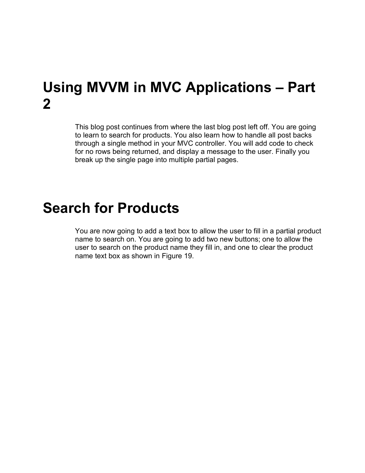### **Using MVVM in MVC Applications – Part 2**

This blog post continues from where the last blog post left off. You are going to learn to search for products. You also learn how to handle all post backs through a single method in your MVC controller. You will add code to check for no rows being returned, and display a message to the user. Finally you break up the single page into multiple partial pages.

### **Search for Products**

You are now going to add a text box to allow the user to fill in a partial product name to search on. You are going to add two new buttons; one to allow the user to search on the product name they fill in, and one to clear the product name text box as shown in [Figure 19.](#page-1-0)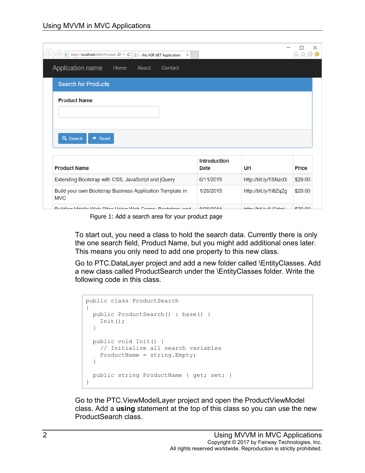| $\Rightarrow$ http://localhost:5454/Product $\mathcal{Q} \times \mathcal{C}$     - My ASP.NET Application<br>$\times$ |                      |                             | 分众接     |
|-----------------------------------------------------------------------------------------------------------------------|----------------------|-----------------------------|---------|
| Application name<br>Home<br>About<br>Contact                                                                          |                      |                             |         |
| <b>Search for Products</b>                                                                                            |                      |                             |         |
| <b>Product Name</b>                                                                                                   |                      |                             |         |
|                                                                                                                       |                      |                             |         |
|                                                                                                                       |                      |                             |         |
| Q Search<br>$\rightarrow$ Reset                                                                                       |                      |                             |         |
|                                                                                                                       |                      |                             |         |
| <b>Product Name</b>                                                                                                   | Introduction<br>Date | Url                         | Price   |
| Extending Bootstrap with CSS, JavaScript and jQuery                                                                   | 6/11/2015            | http://bit.ly/1SNzc0i       | \$29.00 |
| Build your own Bootstrap Business Application Template in<br><b>MVC</b>                                               | 1/29/2015            | http://bit.ly/1I8ZqZg       | \$29.00 |
| Duilding Mabile Wab Citae Heing Wab Fernan, Destatron, and                                                            | 0.0000044            | $k+1$ , $l/k+1$ , $l/4$ $l$ | 00000   |

Figure 1: Add a search area for your product page

<span id="page-1-0"></span>To start out, you need a class to hold the search data. Currently there is only the one search field, Product Name, but you might add additional ones later. This means you only need to add one property to this new class.

Go to PTC.DataLayer project and add a new folder called \EntityClasses. Add a new class called ProductSearch under the \EntityClasses folder. Write the following code in this class.

```
public class ProductSearch
{
   public ProductSearch() : base() {
     Init();
   }
   public void Init() {
    // Initialize all search variables
     ProductName = string.Empty;
   }
   public string ProductName { get; set; }
}
```
Go to the PTC.ViewModelLayer project and open the ProductViewModel class. Add a **using** statement at the top of this class so you can use the new ProductSearch class.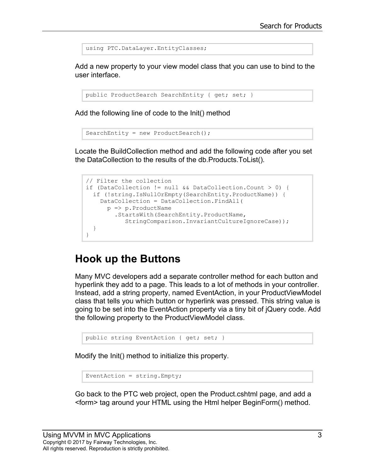using PTC.DataLayer.EntityClasses;

Add a new property to your view model class that you can use to bind to the user interface.

```
public ProductSearch SearchEntity { get; set; }
```
Add the following line of code to the Init() method

```
SearchEntity = new ProductSearch();
```
Locate the BuildCollection method and add the following code after you set the DataCollection to the results of the db.Products.ToList().

```
// Filter the collection
if (DataCollection != null && DataCollection.Count > 0) {
  if (!string.IsNullOrEmpty(SearchEntity.ProductName)) {
    DataCollection = DataCollection.FindAll(
      p => p.ProductName
         .StartsWith(SearchEntity.ProductName,
            StringComparison.InvariantCultureIgnoreCase));
   }
}
```
#### **Hook up the Buttons**

Many MVC developers add a separate controller method for each button and hyperlink they add to a page. This leads to a lot of methods in your controller. Instead, add a string property, named EventAction, in your ProductViewModel class that tells you which button or hyperlink was pressed. This string value is going to be set into the EventAction property via a tiny bit of jQuery code. Add the following property to the ProductViewModel class.

```
public string EventAction { get; set; }
```
Modify the Init() method to initialize this property.

```
EventAction = string. Empty;
```
Go back to the PTC web project, open the Product.cshtml page, and add a <form> tag around your HTML using the Html helper BeginForm() method.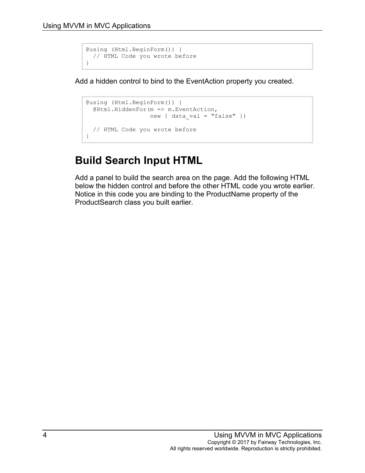```
@using (Html.BeginForm()) {
 // HTML Code you wrote before
}
```
Add a hidden control to bind to the EventAction property you created.

```
@using (Html.BeginForm()) {
   @Html.HiddenFor(m => m.EventAction,
                  new { data val = "false" })
  // HTML Code you wrote before
}
```
### **Build Search Input HTML**

Add a panel to build the search area on the page. Add the following HTML below the hidden control and before the other HTML code you wrote earlier. Notice in this code you are binding to the ProductName property of the ProductSearch class you built earlier.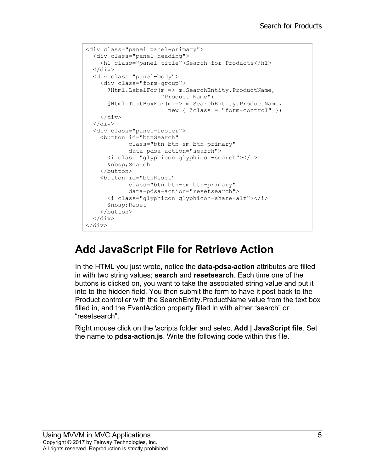```
<div class="panel panel-primary">
  <div class="panel-heading">
    <h1 class="panel-title">Search for Products</h1>
  \langle div\rangle <div class="panel-body">
    <div class="form-group">
       @Html.LabelFor(m => m.SearchEntity.ProductName,
                       "Product Name")
       @Html.TextBoxFor(m => m.SearchEntity.ProductName, 
                        new { \theta class = "form-control" })
     </div>
   </div>
   <div class="panel-footer">
     <button id="btnSearch"
             class="btn btn-sm btn-primary"
             data-pdsa-action="search">
       <i class="glyphicon glyphicon-search"></i>
        Search
     </button>
     <button id="btnReset"
             class="btn btn-sm btn-primary"
             data-pdsa-action="resetsearch">
       <i class="glyphicon glyphicon-share-alt"></i>
        Reset
     </button>
  \langle div>
\langle div\rangle
```
#### **Add JavaScript File for Retrieve Action**

In the HTML you just wrote, notice the **data-pdsa-action** attributes are filled in with two string values; **search** and **resetsearch**. Each time one of the buttons is clicked on, you want to take the associated string value and put it into to the hidden field. You then submit the form to have it post back to the Product controller with the SearchEntity.ProductName value from the text box filled in, and the EventAction property filled in with either "search" or "resetsearch".

Right mouse click on the \scripts folder and select **Add | JavaScript file**. Set the name to **pdsa-action.js**. Write the following code within this file.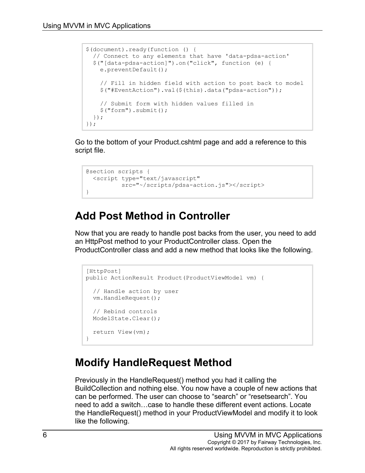```
$(document).ready(function () {
  // Connect to any elements that have 'data-pdsa-action'
  $("[data-pdsa-action]").on("click", function (e) {
    e.preventDefault();
    // Fill in hidden field with action to post back to model
     $("#EventAction").val($(this).data("pdsa-action"));
     // Submit form with hidden values filled in
    $("form").submit();
  });
});
```
Go to the bottom of your Product.cshtml page and add a reference to this script file.

```
@section scripts {
  <script type="text/javascript"
         src="~/scripts/pdsa-action.js"></script>
}
```
#### **Add Post Method in Controller**

Now that you are ready to handle post backs from the user, you need to add an HttpPost method to your ProductController class. Open the ProductController class and add a new method that looks like the following.

```
[HttpPost]
public ActionResult Product(ProductViewModel vm) {
   // Handle action by user
   vm.HandleRequest();
  // Rebind controls
  ModelState.Clear();
  return View(vm);
}
```
### **Modify HandleRequest Method**

Previously in the HandleRequest() method you had it calling the BuildCollection and nothing else. You now have a couple of new actions that can be performed. The user can choose to "search" or "resetsearch". You need to add a switch…case to handle these different event actions. Locate the HandleRequest() method in your ProductViewModel and modify it to look like the following.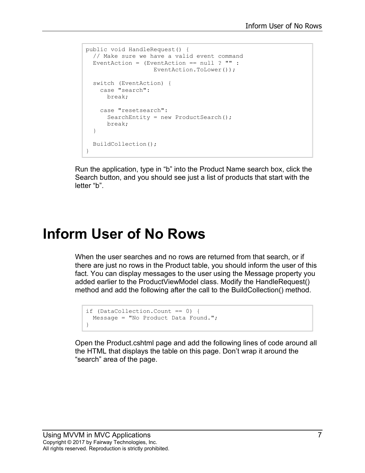```
public void HandleRequest() {
  // Make sure we have a valid event command
  EventAction = (EventAction == null ? "" :
                  EventAction.ToLower());
  switch (EventAction) {
    case "search":
      break;
     case "resetsearch":
      SearchEntity = new ProductSearch();
      break;
  }
  BuildCollection();
}
```
Run the application, type in "b" into the Product Name search box, click the Search button, and you should see just a list of products that start with the letter "b".

## **Inform User of No Rows**

When the user searches and no rows are returned from that search, or if there are just no rows in the Product table, you should inform the user of this fact. You can display messages to the user using the Message property you added earlier to the ProductViewModel class. Modify the HandleRequest() method and add the following after the call to the BuildCollection() method.

```
if (DataCollection.Count == 0) {
  Message = "No Product Data Found.";
}
```
Open the Product.cshtml page and add the following lines of code around all the HTML that displays the table on this page. Don't wrap it around the "search" area of the page.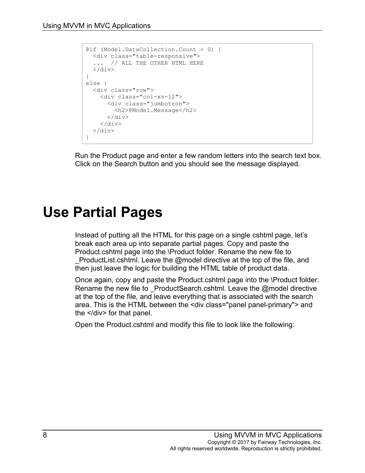```
@if (Model.DataCollection.Count > 0) {
  <div class="table-responsive">
   ... // ALL THE OTHER HTML HERE
  \langlediv>}
else {
  <div class="row">
     <div class="col-xs-12">
      <div class="jumbotron">
         <h2>@Model.Message</h2>
       </div>
    \langlediv>\langle div>
}
```
Run the Product page and enter a few random letters into the search text box. Click on the Search button and you should see the message displayed.

### **Use Partial Pages**

Instead of putting all the HTML for this page on a single cshtml page, let's break each area up into separate partial pages. Copy and paste the Product.cshtml page into the \Product folder. Rename the new file to ProductList.cshtml. Leave the @model directive at the top of the file, and then just leave the logic for building the HTML table of product data.

Once again, copy and paste the Product.cshtml page into the \Product folder. Rename the new file to ProductSearch.cshtml. Leave the @model directive at the top of the file, and leave everything that is associated with the search area. This is the HTML between the <div class="panel panel-primary"> and the </div> for that panel.

Open the Product.cshtml and modify this file to look like the following: